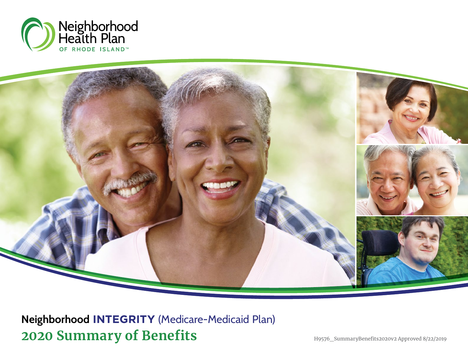



**2020 Summary of Benefits** H9576\_SummaryBenefits2020v2 Approved 8/22/2019 **Neighborhood INTEGRITY** (Medicare-Medicaid Plan)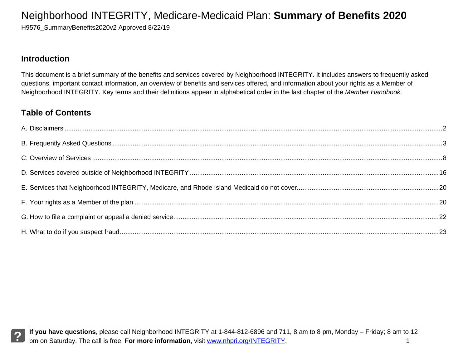H9576 SummaryBenefits2020v2 Approved 8/22/19

#### **Introduction**

This document is a brief summary of the benefits and services covered by Neighborhood INTEGRITY. It includes answers to frequently asked questions, important contact information, an overview of benefits and services offered, and information about your rights as a Member of Neighborhood INTEGRITY. Key terms and their definitions appear in alphabetical order in the last chapter of the *Member Handbook*.

### **Table of Contents**

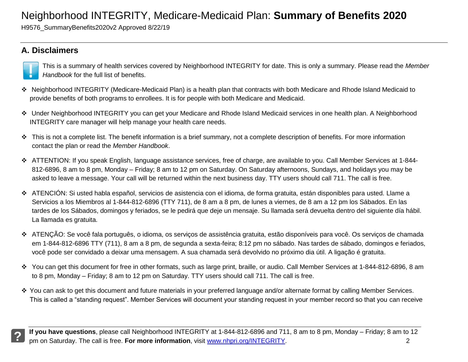H9576\_SummaryBenefits2020v2 Approved 8/22/19

### **A. Disclaimers**



This is a summary of health services covered by Neighborhood INTEGRITY for date. This is only a summary. Please read the *Member Handbook* for the full list of benefits.

- Neighborhood INTEGRITY (Medicare-Medicaid Plan) is a health plan that contracts with both Medicare and Rhode Island Medicaid to provide benefits of both programs to enrollees. It is for people with both Medicare and Medicaid.
- Under Neighborhood INTEGRITY you can get your Medicare and Rhode Island Medicaid services in one health plan. A Neighborhood INTEGRITY care manager will help manage your health care needs.
- This is not a complete list. The benefit information is a brief summary, not a complete description of benefits. For more information contact the plan or read the *Member Handbook*.
- ATTENTION: If you speak English, language assistance services, free of charge, are available to you. Call Member Services at 1-844- 812-6896, 8 am to 8 pm, Monday – Friday; 8 am to 12 pm on Saturday. On Saturday afternoons, Sundays, and holidays you may be asked to leave a message. Your call will be returned within the next business day. TTY users should call 711. The call is free.
- ATENCIÓN: Si usted habla español, servicios de asistencia con el idioma, de forma gratuita, están disponibles para usted. Llame a Servicios a los Miembros al 1-844-812-6896 (TTY 711), de 8 am a 8 pm, de lunes a viernes, de 8 am a 12 pm los Sábados. En las tardes de los Sábados, domingos y feriados, se le pedirá que deje un mensaje. Su llamada será devuelta dentro del siguiente día hábil. La llamada es gratuita.
- ATENÇÃO: Se você fala português, o idioma, os serviços de assistência gratuita, estão disponíveis para você. Os serviços de chamada em 1-844-812-6896 TTY (711), 8 am a 8 pm, de segunda a sexta-feira; 8:12 pm no sábado. Nas tardes de sábado, domingos e feriados, você pode ser convidado a deixar uma mensagem. A sua chamada será devolvido no próximo dia útil. A ligação é gratuita.
- You can get this document for free in other formats, such as large print, braille, or audio. Call Member Services at 1-844-812-6896, 8 am to 8 pm, Monday – Friday; 8 am to 12 pm on Saturday. TTY users should call 711. The call is free.
- \* You can ask to get this document and future materials in your preferred language and/or alternate format by calling Member Services. This is called a "standing request". Member Services will document your standing request in your member record so that you can receive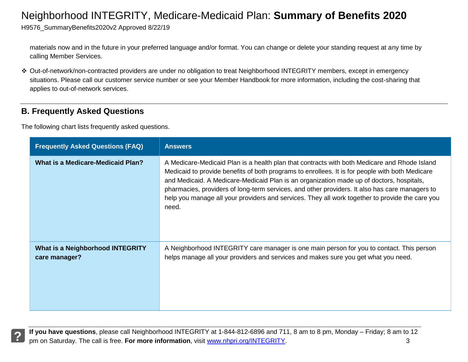H9576\_SummaryBenefits2020v2 Approved 8/22/19

materials now and in the future in your preferred language and/or format. You can change or delete your standing request at any time by calling Member Services.

 Out-of-network/non-contracted providers are under no obligation to treat Neighborhood INTEGRITY members, except in emergency situations. Please call our customer service number or see your Member Handbook for more information, including the cost-sharing that applies to out-of-network services.

### **B. Frequently Asked Questions**

The following chart lists frequently asked questions.

| <b>Frequently Asked Questions (FAQ)</b>           | <b>Answers</b>                                                                                                                                                                                                                                                                                                                                                                                                                                                                                            |
|---------------------------------------------------|-----------------------------------------------------------------------------------------------------------------------------------------------------------------------------------------------------------------------------------------------------------------------------------------------------------------------------------------------------------------------------------------------------------------------------------------------------------------------------------------------------------|
| <b>What is a Medicare-Medicaid Plan?</b>          | A Medicare-Medicaid Plan is a health plan that contracts with both Medicare and Rhode Island<br>Medicaid to provide benefits of both programs to enrollees. It is for people with both Medicare<br>and Medicaid. A Medicare-Medicaid Plan is an organization made up of doctors, hospitals,<br>pharmacies, providers of long-term services, and other providers. It also has care managers to<br>help you manage all your providers and services. They all work together to provide the care you<br>need. |
| What is a Neighborhood INTEGRITY<br>care manager? | A Neighborhood INTEGRITY care manager is one main person for you to contact. This person<br>helps manage all your providers and services and makes sure you get what you need.                                                                                                                                                                                                                                                                                                                            |

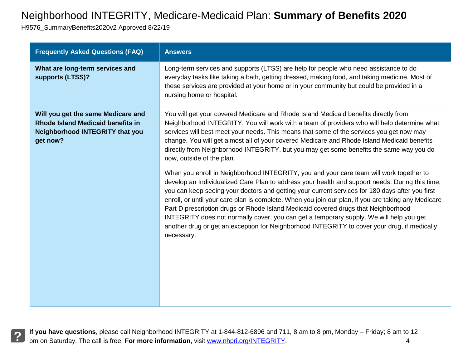H9576\_SummaryBenefits2020v2 Approved 8/22/19

| <b>Frequently Asked Questions (FAQ)</b>                                                                                              | <b>Answers</b>                                                                                                                                                                                                                                                                                                                                                                                                                                                                                                                                                                                                                                                                                      |
|--------------------------------------------------------------------------------------------------------------------------------------|-----------------------------------------------------------------------------------------------------------------------------------------------------------------------------------------------------------------------------------------------------------------------------------------------------------------------------------------------------------------------------------------------------------------------------------------------------------------------------------------------------------------------------------------------------------------------------------------------------------------------------------------------------------------------------------------------------|
| What are long-term services and<br>supports (LTSS)?                                                                                  | Long-term services and supports (LTSS) are help for people who need assistance to do<br>everyday tasks like taking a bath, getting dressed, making food, and taking medicine. Most of<br>these services are provided at your home or in your community but could be provided in a<br>nursing home or hospital.                                                                                                                                                                                                                                                                                                                                                                                      |
| Will you get the same Medicare and<br><b>Rhode Island Medicaid benefits in</b><br><b>Neighborhood INTEGRITY that you</b><br>get now? | You will get your covered Medicare and Rhode Island Medicaid benefits directly from<br>Neighborhood INTEGRITY. You will work with a team of providers who will help determine what<br>services will best meet your needs. This means that some of the services you get now may<br>change. You will get almost all of your covered Medicare and Rhode Island Medicaid benefits<br>directly from Neighborhood INTEGRITY, but you may get some benefits the same way you do<br>now, outside of the plan.                                                                                                                                                                                               |
|                                                                                                                                      | When you enroll in Neighborhood INTEGRITY, you and your care team will work together to<br>develop an Individualized Care Plan to address your health and support needs. During this time,<br>you can keep seeing your doctors and getting your current services for 180 days after you first<br>enroll, or until your care plan is complete. When you join our plan, if you are taking any Medicare<br>Part D prescription drugs or Rhode Island Medicaid covered drugs that Neighborhood<br>INTEGRITY does not normally cover, you can get a temporary supply. We will help you get<br>another drug or get an exception for Neighborhood INTEGRITY to cover your drug, if medically<br>necessary. |

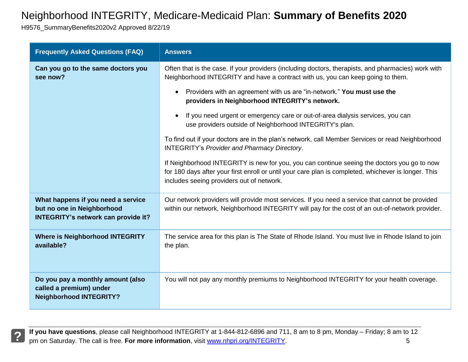H9576\_SummaryBenefits2020v2 Approved 8/22/19

| <b>Frequently Asked Questions (FAQ)</b>                                                                        | <b>Answers</b>                                                                                                                                                                                                                                   |
|----------------------------------------------------------------------------------------------------------------|--------------------------------------------------------------------------------------------------------------------------------------------------------------------------------------------------------------------------------------------------|
| Can you go to the same doctors you<br>see now?                                                                 | Often that is the case. If your providers (including doctors, therapists, and pharmacies) work with<br>Neighborhood INTEGRITY and have a contract with us, you can keep going to them.                                                           |
|                                                                                                                | Providers with an agreement with us are "in-network." You must use the<br>providers in Neighborhood INTEGRITY's network.                                                                                                                         |
|                                                                                                                | If you need urgent or emergency care or out-of-area dialysis services, you can<br>use providers outside of Neighborhood INTEGRITY's plan.                                                                                                        |
|                                                                                                                | To find out if your doctors are in the plan's network, call Member Services or read Neighborhood<br><b>INTEGRITY's Provider and Pharmacy Directory.</b>                                                                                          |
|                                                                                                                | If Neighborhood INTEGRITY is new for you, you can continue seeing the doctors you go to now<br>for 180 days after your first enroll or until your care plan is completed, whichever is longer. This<br>includes seeing providers out of network. |
| What happens if you need a service<br>but no one in Neighborhood<br><b>INTEGRITY's network can provide it?</b> | Our network providers will provide most services. If you need a service that cannot be provided<br>within our network, Neighborhood INTEGRITY will pay for the cost of an out-of-network provider.                                               |
| <b>Where is Neighborhood INTEGRITY</b><br>available?                                                           | The service area for this plan is The State of Rhode Island. You must live in Rhode Island to join<br>the plan.                                                                                                                                  |
| Do you pay a monthly amount (also<br>called a premium) under<br><b>Neighborhood INTEGRITY?</b>                 | You will not pay any monthly premiums to Neighborhood INTEGRITY for your health coverage.                                                                                                                                                        |

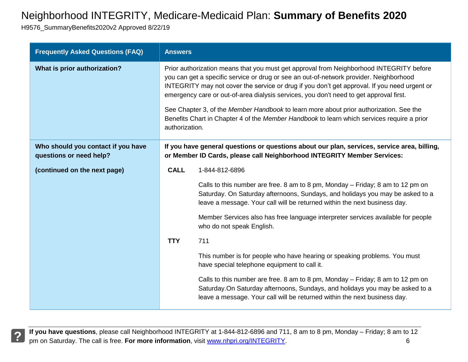H9576\_SummaryBenefits2020v2 Approved 8/22/19

| <b>Frequently Asked Questions (FAQ)</b>                       | <b>Answers</b>                                                                                                                                                                                                                                                                                                                                                                                                                                                                                                                                                                        |  |
|---------------------------------------------------------------|---------------------------------------------------------------------------------------------------------------------------------------------------------------------------------------------------------------------------------------------------------------------------------------------------------------------------------------------------------------------------------------------------------------------------------------------------------------------------------------------------------------------------------------------------------------------------------------|--|
| What is prior authorization?                                  | Prior authorization means that you must get approval from Neighborhood INTEGRITY before<br>you can get a specific service or drug or see an out-of-network provider. Neighborhood<br>INTEGRITY may not cover the service or drug if you don't get approval. If you need urgent or<br>emergency care or out-of-area dialysis services, you don't need to get approval first.<br>See Chapter 3, of the Member Handbook to learn more about prior authorization. See the<br>Benefits Chart in Chapter 4 of the Member Handbook to learn which services require a prior<br>authorization. |  |
| Who should you contact if you have<br>questions or need help? | If you have general questions or questions about our plan, services, service area, billing,<br>or Member ID Cards, please call Neighborhood INTEGRITY Member Services:                                                                                                                                                                                                                                                                                                                                                                                                                |  |
| (continued on the next page)                                  | <b>CALL</b><br>1-844-812-6896                                                                                                                                                                                                                                                                                                                                                                                                                                                                                                                                                         |  |
|                                                               | Calls to this number are free. 8 am to 8 pm, Monday – Friday; 8 am to 12 pm on<br>Saturday. On Saturday afternoons, Sundays, and holidays you may be asked to a<br>leave a message. Your call will be returned within the next business day.                                                                                                                                                                                                                                                                                                                                          |  |
|                                                               | Member Services also has free language interpreter services available for people<br>who do not speak English.                                                                                                                                                                                                                                                                                                                                                                                                                                                                         |  |
|                                                               | <b>TTY</b><br>711                                                                                                                                                                                                                                                                                                                                                                                                                                                                                                                                                                     |  |
|                                                               | This number is for people who have hearing or speaking problems. You must<br>have special telephone equipment to call it.                                                                                                                                                                                                                                                                                                                                                                                                                                                             |  |
|                                                               | Calls to this number are free. 8 am to 8 pm, Monday - Friday; 8 am to 12 pm on<br>Saturday. On Saturday afternoons, Sundays, and holidays you may be asked to a<br>leave a message. Your call will be returned within the next business day.                                                                                                                                                                                                                                                                                                                                          |  |

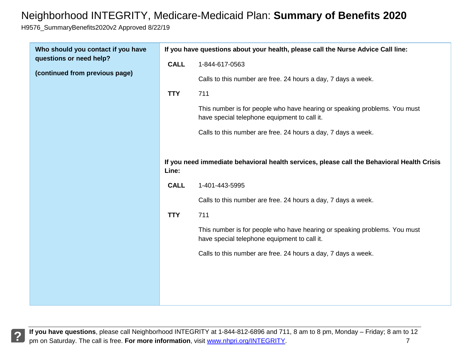H9576\_SummaryBenefits2020v2 Approved 8/22/19

| Who should you contact if you have |             | If you have questions about your health, please call the Nurse Advice Call line:                                          |  |  |
|------------------------------------|-------------|---------------------------------------------------------------------------------------------------------------------------|--|--|
| questions or need help?            | <b>CALL</b> | 1-844-617-0563                                                                                                            |  |  |
| (continued from previous page)     |             | Calls to this number are free. 24 hours a day, 7 days a week.                                                             |  |  |
|                                    | <b>TTY</b>  | 711                                                                                                                       |  |  |
|                                    |             | This number is for people who have hearing or speaking problems. You must<br>have special telephone equipment to call it. |  |  |
|                                    |             | Calls to this number are free. 24 hours a day, 7 days a week.                                                             |  |  |
|                                    | Line:       | If you need immediate behavioral health services, please call the Behavioral Health Crisis                                |  |  |
|                                    | <b>CALL</b> | 1-401-443-5995                                                                                                            |  |  |
|                                    |             | Calls to this number are free. 24 hours a day, 7 days a week.                                                             |  |  |
|                                    | <b>TTY</b>  | 711                                                                                                                       |  |  |
|                                    |             | This number is for people who have hearing or speaking problems. You must<br>have special telephone equipment to call it. |  |  |
|                                    |             | Calls to this number are free. 24 hours a day, 7 days a week.                                                             |  |  |
|                                    |             |                                                                                                                           |  |  |
|                                    |             |                                                                                                                           |  |  |
|                                    |             |                                                                                                                           |  |  |

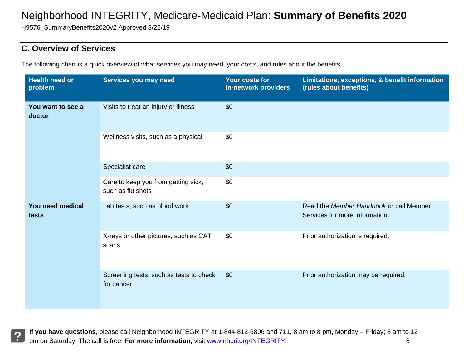H9576\_SummaryBenefits2020v2 Approved 8/22/19

#### **C. Overview of Services**

The following chart is a quick overview of what services you may need, your costs, and rules about the benefits.

| <b>Health need or</b><br>problem | Services you may need                                    | Your costs for<br>in-network providers | Limitations, exceptions, & benefit information<br>(rules about benefits)  |
|----------------------------------|----------------------------------------------------------|----------------------------------------|---------------------------------------------------------------------------|
| You want to see a<br>doctor      | Visits to treat an injury or illness                     | \$0                                    |                                                                           |
|                                  | Wellness visits, such as a physical                      | \$0                                    |                                                                           |
|                                  | Specialist care                                          | \$0                                    |                                                                           |
|                                  | Care to keep you from getting sick,<br>such as flu shots | \$0                                    |                                                                           |
| You need medical<br>tests        | Lab tests, such as blood work                            | \$0                                    | Read the Member Handbook or call Member<br>Services for more information. |
|                                  | X-rays or other pictures, such as CAT<br>scans           | \$0                                    | Prior authorization is required.                                          |
|                                  | Screening tests, such as tests to check<br>for cancer    | \$0                                    | Prior authorization may be required.                                      |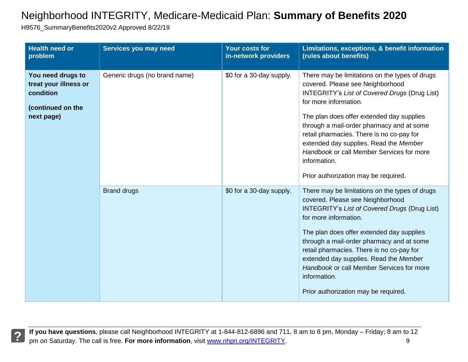H9576\_SummaryBenefits2020v2 Approved 8/22/19

| <b>Health need or</b><br>problem                                                           | Services you may need         | <b>Your costs for</b><br>in-network providers | Limitations, exceptions, & benefit information<br>(rules about benefits)                                                                                                                                                                                                                                                                                                                                                                                  |
|--------------------------------------------------------------------------------------------|-------------------------------|-----------------------------------------------|-----------------------------------------------------------------------------------------------------------------------------------------------------------------------------------------------------------------------------------------------------------------------------------------------------------------------------------------------------------------------------------------------------------------------------------------------------------|
| You need drugs to<br>treat your illness or<br>condition<br>(continued on the<br>next page) | Generic drugs (no brand name) | \$0 for a 30-day supply.                      | There may be limitations on the types of drugs<br>covered. Please see Neighborhood<br><b>INTEGRITY's List of Covered Drugs (Drug List)</b><br>for more information.<br>The plan does offer extended day supplies<br>through a mail-order pharmacy and at some<br>retail pharmacies. There is no co-pay for<br>extended day supplies. Read the Member<br>Handbook or call Member Services for more<br>information.<br>Prior authorization may be required. |
|                                                                                            | <b>Brand drugs</b>            | \$0 for a 30-day supply.                      | There may be limitations on the types of drugs<br>covered. Please see Neighborhood<br><b>INTEGRITY's List of Covered Drugs (Drug List)</b><br>for more information.<br>The plan does offer extended day supplies<br>through a mail-order pharmacy and at some<br>retail pharmacies. There is no co-pay for<br>extended day supplies. Read the Member<br>Handbook or call Member Services for more<br>information.<br>Prior authorization may be required. |



If you have questions, please call Neighborhood INTEGRITY at 1-844-812-6896 and 711, 8 am to 8 pm, Monday – Friday; 8 am to 12<br>9<br>9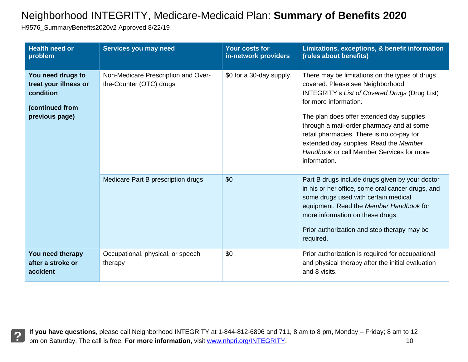H9576\_SummaryBenefits2020v2 Approved 8/22/19

| <b>Health need or</b><br>problem                                                             | Services you may need                                          | <b>Your costs for</b><br>in-network providers | Limitations, exceptions, & benefit information<br>(rules about benefits)                                                                                                                                                                                                                                                                                                                                          |
|----------------------------------------------------------------------------------------------|----------------------------------------------------------------|-----------------------------------------------|-------------------------------------------------------------------------------------------------------------------------------------------------------------------------------------------------------------------------------------------------------------------------------------------------------------------------------------------------------------------------------------------------------------------|
| You need drugs to<br>treat your illness or<br>condition<br>(continued from<br>previous page) | Non-Medicare Prescription and Over-<br>the-Counter (OTC) drugs | \$0 for a 30-day supply.                      | There may be limitations on the types of drugs<br>covered. Please see Neighborhood<br><b>INTEGRITY's List of Covered Drugs (Drug List)</b><br>for more information.<br>The plan does offer extended day supplies<br>through a mail-order pharmacy and at some<br>retail pharmacies. There is no co-pay for<br>extended day supplies. Read the Member<br>Handbook or call Member Services for more<br>information. |
|                                                                                              | Medicare Part B prescription drugs                             | \$0                                           | Part B drugs include drugs given by your doctor<br>in his or her office, some oral cancer drugs, and<br>some drugs used with certain medical<br>equipment. Read the Member Handbook for<br>more information on these drugs.<br>Prior authorization and step therapy may be<br>required.                                                                                                                           |
| You need therapy<br>after a stroke or<br>accident                                            | Occupational, physical, or speech<br>therapy                   | \$0                                           | Prior authorization is required for occupational<br>and physical therapy after the initial evaluation<br>and 8 visits.                                                                                                                                                                                                                                                                                            |

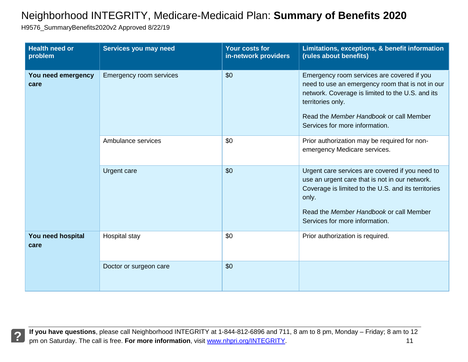H9576\_SummaryBenefits2020v2 Approved 8/22/19

| <b>Health need or</b><br>problem | Services you may need          | <b>Your costs for</b><br>in-network providers | Limitations, exceptions, & benefit information<br>(rules about benefits)                                                                                                                                                                             |
|----------------------------------|--------------------------------|-----------------------------------------------|------------------------------------------------------------------------------------------------------------------------------------------------------------------------------------------------------------------------------------------------------|
| You need emergency<br>care       | <b>Emergency room services</b> | \$0                                           | Emergency room services are covered if you<br>need to use an emergency room that is not in our<br>network. Coverage is limited to the U.S. and its<br>territories only.<br>Read the Member Handbook or call Member<br>Services for more information. |
|                                  | Ambulance services             | \$0                                           | Prior authorization may be required for non-<br>emergency Medicare services.                                                                                                                                                                         |
|                                  | Urgent care                    | \$0                                           | Urgent care services are covered if you need to<br>use an urgent care that is not in our network.<br>Coverage is limited to the U.S. and its territories<br>only.<br>Read the Member Handbook or call Member<br>Services for more information.       |
| You need hospital<br>care        | Hospital stay                  | \$0                                           | Prior authorization is required.                                                                                                                                                                                                                     |
|                                  | Doctor or surgeon care         | \$0                                           |                                                                                                                                                                                                                                                      |

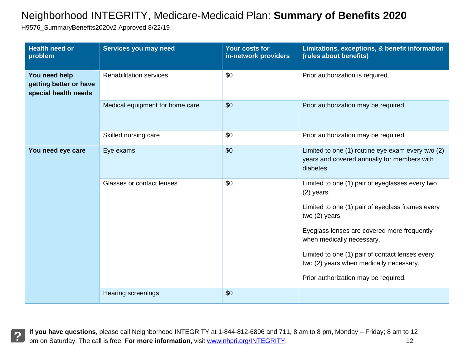H9576\_SummaryBenefits2020v2 Approved 8/22/19

| <b>Health need or</b><br>problem                                | Services you may need           | Your costs for<br>in-network providers | Limitations, exceptions, & benefit information<br>(rules about benefits)                                      |
|-----------------------------------------------------------------|---------------------------------|----------------------------------------|---------------------------------------------------------------------------------------------------------------|
| You need help<br>getting better or have<br>special health needs | <b>Rehabilitation services</b>  | \$0                                    | Prior authorization is required.                                                                              |
|                                                                 | Medical equipment for home care | \$0                                    | Prior authorization may be required.                                                                          |
|                                                                 | Skilled nursing care            | \$0                                    | Prior authorization may be required.                                                                          |
| You need eye care                                               | Eye exams                       | \$0                                    | Limited to one (1) routine eye exam every two (2)<br>years and covered annually for members with<br>diabetes. |
|                                                                 | Glasses or contact lenses       | \$0                                    | Limited to one (1) pair of eyeglasses every two<br>$(2)$ years.                                               |
|                                                                 |                                 |                                        | Limited to one (1) pair of eyeglass frames every<br>two (2) years.                                            |
|                                                                 |                                 |                                        | Eyeglass lenses are covered more frequently<br>when medically necessary.                                      |
|                                                                 |                                 |                                        | Limited to one (1) pair of contact lenses every<br>two (2) years when medically necessary.                    |
|                                                                 |                                 |                                        | Prior authorization may be required.                                                                          |
|                                                                 | <b>Hearing screenings</b>       | \$0                                    |                                                                                                               |

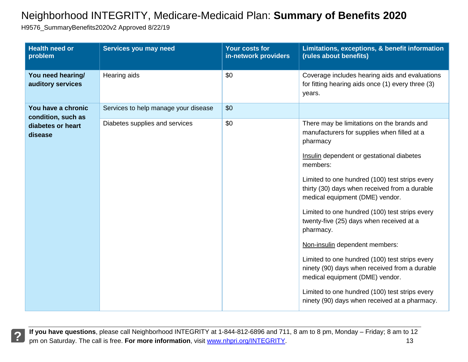H9576\_SummaryBenefits2020v2 Approved 8/22/19

| <b>Health need or</b><br>problem         | Services you may need                | Your costs for<br>in-network providers | Limitations, exceptions, & benefit information<br>(rules about benefits)                                                           |
|------------------------------------------|--------------------------------------|----------------------------------------|------------------------------------------------------------------------------------------------------------------------------------|
| You need hearing/<br>auditory services   | Hearing aids                         | \$0                                    | Coverage includes hearing aids and evaluations<br>for fitting hearing aids once (1) every three (3)<br>years.                      |
| You have a chronic<br>condition, such as | Services to help manage your disease | \$0                                    |                                                                                                                                    |
| diabetes or heart<br>disease             | Diabetes supplies and services       | \$0                                    | There may be limitations on the brands and<br>manufacturers for supplies when filled at a<br>pharmacy                              |
|                                          |                                      |                                        | Insulin dependent or gestational diabetes<br>members:                                                                              |
|                                          |                                      |                                        | Limited to one hundred (100) test strips every<br>thirty (30) days when received from a durable<br>medical equipment (DME) vendor. |
|                                          |                                      |                                        | Limited to one hundred (100) test strips every<br>twenty-five (25) days when received at a<br>pharmacy.                            |
|                                          |                                      |                                        | Non-insulin dependent members:                                                                                                     |
|                                          |                                      |                                        | Limited to one hundred (100) test strips every<br>ninety (90) days when received from a durable<br>medical equipment (DME) vendor. |
|                                          |                                      |                                        | Limited to one hundred (100) test strips every<br>ninety (90) days when received at a pharmacy.                                    |

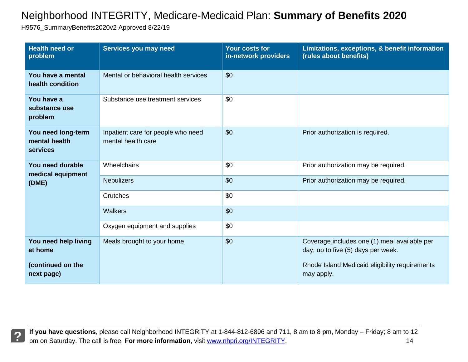H9576\_SummaryBenefits2020v2 Approved 8/22/19

| <b>Health need or</b><br>problem                | Services you may need                                    | <b>Your costs for</b><br>in-network providers | Limitations, exceptions, & benefit information<br>(rules about benefits)           |
|-------------------------------------------------|----------------------------------------------------------|-----------------------------------------------|------------------------------------------------------------------------------------|
| You have a mental<br>health condition           | Mental or behavioral health services                     | \$0                                           |                                                                                    |
| You have a<br>substance use<br>problem          | Substance use treatment services                         | \$0                                           |                                                                                    |
| You need long-term<br>mental health<br>services | Inpatient care for people who need<br>mental health care | \$0                                           | Prior authorization is required.                                                   |
| You need durable<br>medical equipment<br>(DME)  | Wheelchairs                                              | \$0                                           | Prior authorization may be required.                                               |
|                                                 | <b>Nebulizers</b>                                        | \$0                                           | Prior authorization may be required.                                               |
|                                                 | Crutches                                                 | \$0                                           |                                                                                    |
|                                                 | <b>Walkers</b>                                           | \$0                                           |                                                                                    |
|                                                 | Oxygen equipment and supplies                            | \$0                                           |                                                                                    |
| You need help living<br>at home                 | Meals brought to your home                               | \$0                                           | Coverage includes one (1) meal available per<br>day, up to five (5) days per week. |
| (continued on the<br>next page)                 |                                                          |                                               | Rhode Island Medicaid eligibility requirements<br>may apply.                       |

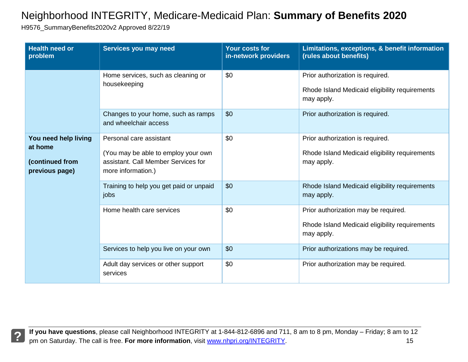H9576\_SummaryBenefits2020v2 Approved 8/22/19

| <b>Health need or</b><br>problem                                     | Services you may need                                                                                                       | Your costs for<br>in-network providers | Limitations, exceptions, & benefit information<br>(rules about benefits)                             |
|----------------------------------------------------------------------|-----------------------------------------------------------------------------------------------------------------------------|----------------------------------------|------------------------------------------------------------------------------------------------------|
|                                                                      | Home services, such as cleaning or<br>housekeeping                                                                          | \$0                                    | Prior authorization is required.<br>Rhode Island Medicaid eligibility requirements<br>may apply.     |
|                                                                      | Changes to your home, such as ramps<br>and wheelchair access                                                                | \$0                                    | Prior authorization is required.                                                                     |
| You need help living<br>at home<br>(continued from<br>previous page) | Personal care assistant<br>(You may be able to employ your own<br>assistant. Call Member Services for<br>more information.) | \$0                                    | Prior authorization is required.<br>Rhode Island Medicaid eligibility requirements<br>may apply.     |
|                                                                      | Training to help you get paid or unpaid<br>jobs                                                                             | \$0                                    | Rhode Island Medicaid eligibility requirements<br>may apply.                                         |
|                                                                      | Home health care services                                                                                                   | \$0                                    | Prior authorization may be required.<br>Rhode Island Medicaid eligibility requirements<br>may apply. |
|                                                                      | Services to help you live on your own                                                                                       | \$0                                    | Prior authorizations may be required.                                                                |
|                                                                      | Adult day services or other support<br>services                                                                             | \$0                                    | Prior authorization may be required.                                                                 |

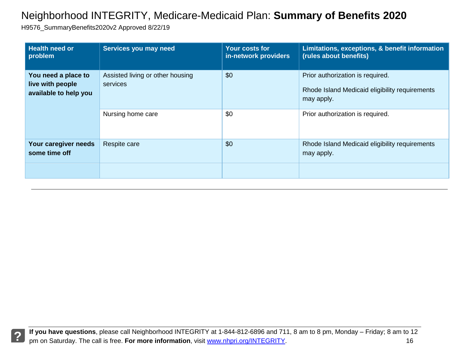H9576\_SummaryBenefits2020v2 Approved 8/22/19

| <b>Health need or</b><br>problem                                 | Services you may need                        | Your costs for<br>in-network providers | Limitations, exceptions, & benefit information<br>(rules about benefits)                         |
|------------------------------------------------------------------|----------------------------------------------|----------------------------------------|--------------------------------------------------------------------------------------------------|
| You need a place to<br>live with people<br>available to help you | Assisted living or other housing<br>services | \$0                                    | Prior authorization is required.<br>Rhode Island Medicaid eligibility requirements<br>may apply. |
|                                                                  | Nursing home care                            | \$0                                    | Prior authorization is required.                                                                 |
| Your caregiver needs<br>some time off                            | Respite care                                 | \$0                                    | Rhode Island Medicaid eligibility requirements<br>may apply.                                     |
|                                                                  |                                              |                                        |                                                                                                  |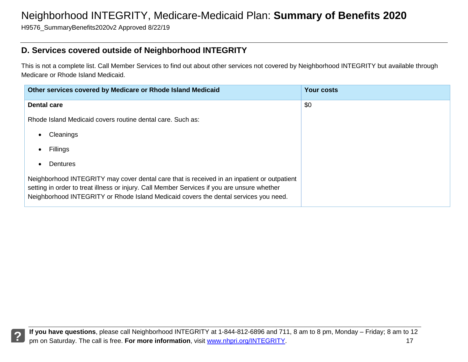H9576\_SummaryBenefits2020v2 Approved 8/22/19

### **D. Services covered outside of Neighborhood INTEGRITY**

This is not a complete list. Call Member Services to find out about other services not covered by Neighborhood INTEGRITY but available through Medicare or Rhode Island Medicaid.

| Other services covered by Medicare or Rhode Island Medicaid                                                                                                                                                                                                                        | <b>Your costs</b> |
|------------------------------------------------------------------------------------------------------------------------------------------------------------------------------------------------------------------------------------------------------------------------------------|-------------------|
| <b>Dental care</b>                                                                                                                                                                                                                                                                 | \$0               |
| Rhode Island Medicaid covers routine dental care. Such as:                                                                                                                                                                                                                         |                   |
| Cleanings                                                                                                                                                                                                                                                                          |                   |
| Fillings                                                                                                                                                                                                                                                                           |                   |
| Dentures                                                                                                                                                                                                                                                                           |                   |
| Neighborhood INTEGRITY may cover dental care that is received in an inpatient or outpatient<br>setting in order to treat illness or injury. Call Member Services if you are unsure whether<br>Neighborhood INTEGRITY or Rhode Island Medicaid covers the dental services you need. |                   |

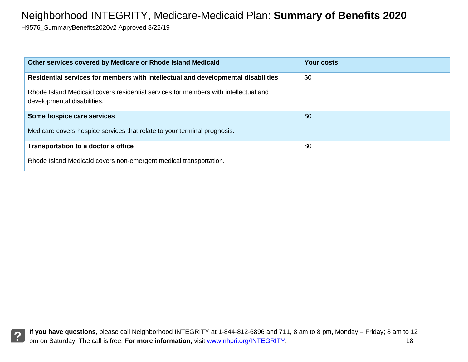H9576\_SummaryBenefits2020v2 Approved 8/22/19

| Other services covered by Medicare or Rhode Island Medicaid                                                        | <b>Your costs</b> |
|--------------------------------------------------------------------------------------------------------------------|-------------------|
| Residential services for members with intellectual and developmental disabilities                                  | \$0               |
| Rhode Island Medicaid covers residential services for members with intellectual and<br>developmental disabilities. |                   |
| Some hospice care services                                                                                         | \$0               |
| Medicare covers hospice services that relate to your terminal prognosis.                                           |                   |
| Transportation to a doctor's office                                                                                | \$0               |
| Rhode Island Medicaid covers non-emergent medical transportation.                                                  |                   |

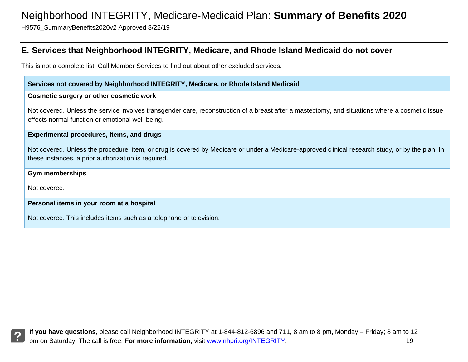H9576\_SummaryBenefits2020v2 Approved 8/22/19

### **E. Services that Neighborhood INTEGRITY, Medicare, and Rhode Island Medicaid do not cover**

This is not a complete list. Call Member Services to find out about other excluded services.

#### **Services not covered by Neighborhood INTEGRITY, Medicare, or Rhode Island Medicaid**

#### **Cosmetic surgery or other cosmetic work**

Not covered. Unless the service involves transgender care, reconstruction of a breast after a mastectomy, and situations where a cosmetic issue effects normal function or emotional well-being.

#### **Experimental procedures, items, and drugs**

Not covered. Unless the procedure, item, or drug is covered by Medicare or under a Medicare-approved clinical research study, or by the plan. In these instances, a prior authorization is required.

#### **Gym memberships**

Not covered.

#### **Personal items in your room at a hospital**

Not covered. This includes items such as a telephone or television.

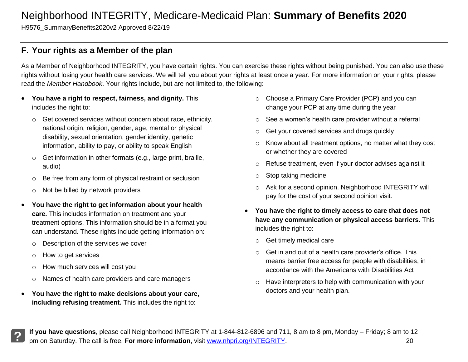H9576\_SummaryBenefits2020v2 Approved 8/22/19

### **F. Your rights as a Member of the plan**

As a Member of Neighborhood INTEGRITY, you have certain rights. You can exercise these rights without being punished. You can also use these rights without losing your health care services. We will tell you about your rights at least once a year. For more information on your rights, please read the *Member Handbook*. Your rights include, but are not limited to, the following:

- **You have a right to respect, fairness, and dignity.** This includes the right to:
	- o Get covered services without concern about race, ethnicity, national origin, religion, gender, age, mental or physical disability, sexual orientation, gender identity, genetic information, ability to pay, or ability to speak English
	- o Get information in other formats (e.g., large print, braille, audio)
	- o Be free from any form of physical restraint or seclusion
	- o Not be billed by network providers
- **You have the right to get information about your health care.** This includes information on treatment and your treatment options. This information should be in a format you can understand. These rights include getting information on:
	- o Description of the services we cover
	- o How to get services
	- o How much services will cost you
	- o Names of health care providers and care managers
- **You have the right to make decisions about your care, including refusing treatment.** This includes the right to:
- o Choose a Primary Care Provider (PCP) and you can change your PCP at any time during the year
- o See a women's health care provider without a referral
- o Get your covered services and drugs quickly
- o Know about all treatment options, no matter what they cost or whether they are covered
- o Refuse treatment, even if your doctor advises against it
- o Stop taking medicine
- o Ask for a second opinion. Neighborhood INTEGRITY will pay for the cost of your second opinion visit.
- **You have the right to timely access to care that does not have any communication or physical access barriers.** This includes the right to:
	- o Get timely medical care
	- o Get in and out of a health care provider's office. This means barrier free access for people with disabilities, in accordance with the Americans with Disabilities Act
	- o Have interpreters to help with communication with your doctors and your health plan.

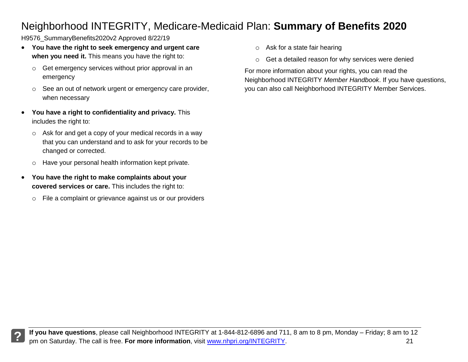H9576 SummaryBenefits2020v2 Approved 8/22/19

- **You have the right to seek emergency and urgent care when you need it.** This means you have the right to:
	- o Get emergency services without prior approval in an emergency
	- o See an out of network urgent or emergency care provider, when necessary
- **You have a right to confidentiality and privacy.** This includes the right to:
	- o Ask for and get a copy of your medical records in a way that you can understand and to ask for your records to be changed or corrected.
	- o Have your personal health information kept private.
- **You have the right to make complaints about your covered services or care.** This includes the right to:
	- o File a complaint or grievance against us or our providers
- o Ask for a state fair hearing
- o Get a detailed reason for why services were denied

For more information about your rights, you can read the Neighborhood INTEGRITY *Member Handbook*. If you have questions, you can also call Neighborhood INTEGRITY Member Services.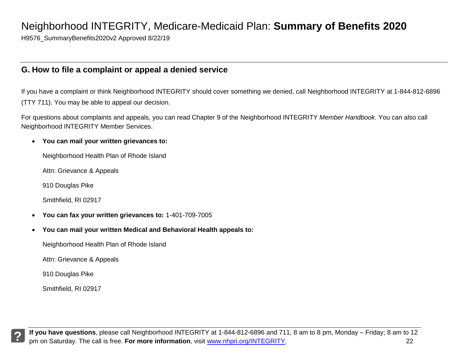H9576\_SummaryBenefits2020v2 Approved 8/22/19

#### **G. How to file a complaint or appeal a denied service**

If you have a complaint or think Neighborhood INTEGRITY should cover something we denied, call Neighborhood INTEGRITY at 1-844-812-6896 (TTY 711). You may be able to appeal our decision.

For questions about complaints and appeals, you can read Chapter 9 of the Neighborhood INTEGRITY *Member Handbook*. You can also call Neighborhood INTEGRITY Member Services.

#### **You can mail your written grievances to:**

Neighborhood Health Plan of Rhode Island

Attn: Grievance & Appeals

910 Douglas Pike

Smithfield, RI 02917

- **You can fax your written grievances to:** 1-401-709-7005
- **You can mail your written Medical and Behavioral Health appeals to:**

Neighborhood Health Plan of Rhode Island

Attn: Grievance & Appeals

910 Douglas Pike

Smithfield, RI 02917

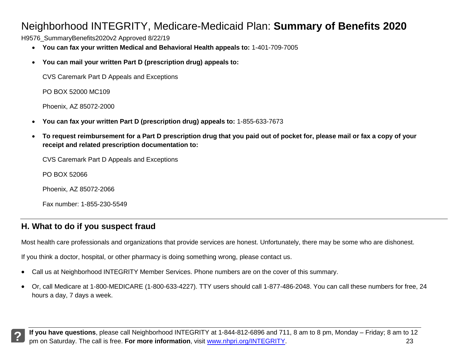H9576\_SummaryBenefits2020v2 Approved 8/22/19

- **You can fax your written Medical and Behavioral Health appeals to:** 1-401-709-7005
- **You can mail your written Part D (prescription drug) appeals to:**

CVS Caremark Part D Appeals and Exceptions

PO BOX 52000 MC109

Phoenix, AZ 85072-2000

- **You can fax your written Part D (prescription drug) appeals to:** 1-855-633-7673
- **To request reimbursement for a Part D prescription drug that you paid out of pocket for, please mail or fax a copy of your receipt and related prescription documentation to:**

CVS Caremark Part D Appeals and Exceptions

PO BOX 52066

Phoenix, AZ 85072-2066

Fax number: 1-855-230-5549

### **H. What to do if you suspect fraud**

Most health care professionals and organizations that provide services are honest. Unfortunately, there may be some who are dishonest.

If you think a doctor, hospital, or other pharmacy is doing something wrong, please contact us.

- Call us at Neighborhood INTEGRITY Member Services. Phone numbers are on the cover of this summary.
- Or, call Medicare at 1-800-MEDICARE (1-800-633-4227). TTY users should call 1-877-486-2048. You can call these numbers for free, 24 hours a day, 7 days a week.